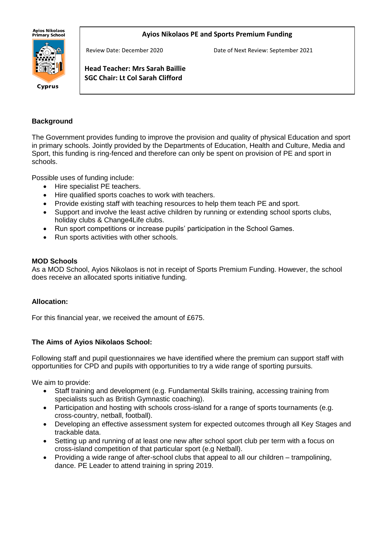Ayios Nikolaos<br>Primary School

#### **Ayios Nikolaos PE and Sports Premium Funding**



Cyprus

Review Date: December 2020 Date of Next Review: September 2021

**Head Teacher: Mrs Sarah Baillie SGC Chair: Lt Col Sarah Clifford**

### **Background**

The Government provides funding to improve the provision and quality of physical Education and sport in primary schools. Jointly provided by the Departments of Education, Health and Culture, Media and Sport, this funding is ring-fenced and therefore can only be spent on provision of PE and sport in schools.

Possible uses of funding include:

j

- Hire specialist PE teachers.
- Hire qualified sports coaches to work with teachers.
- Provide existing staff with teaching resources to help them teach PE and sport.
- Support and involve the least active children by running or extending school sports clubs, holiday clubs & Change4Life clubs.
- Run sport competitions or increase pupils' participation in the School Games.
- Run sports activities with other schools.

#### **MOD Schools**

As a MOD School, Ayios Nikolaos is not in receipt of Sports Premium Funding. However, the school does receive an allocated sports initiative funding.

#### **Allocation:**

For this financial year, we received the amount of £675.

#### **The Aims of Ayios Nikolaos School:**

Following staff and pupil questionnaires we have identified where the premium can support staff with opportunities for CPD and pupils with opportunities to try a wide range of sporting pursuits.

We aim to provide:

- Staff training and development (e.g. Fundamental Skills training, accessing training from specialists such as British Gymnastic coaching).
- Participation and hosting with schools cross-island for a range of sports tournaments (e.g. cross-country, netball, football).
- Developing an effective assessment system for expected outcomes through all Key Stages and trackable data.
- Setting up and running of at least one new after school sport club per term with a focus on cross-island competition of that particular sport (e.g Netball).
- Providing a wide range of after-school clubs that appeal to all our children trampolining, dance. PE Leader to attend training in spring 2019.